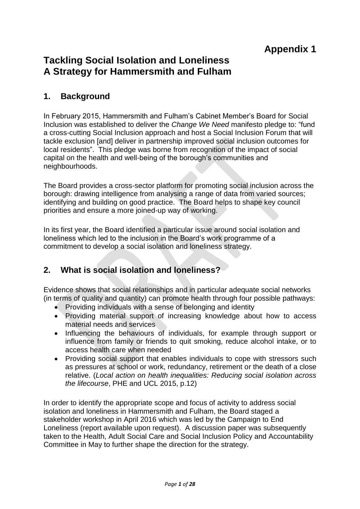# **Tackling Social Isolation and Loneliness A Strategy for Hammersmith and Fulham**

# **1. Background**

In February 2015, Hammersmith and Fulham's Cabinet Member's Board for Social Inclusion was established to deliver the *Change We Need* manifesto pledge to: "fund a cross-cutting Social Inclusion approach and host a Social Inclusion Forum that will tackle exclusion [and] deliver in partnership improved social inclusion outcomes for local residents". This pledge was borne from recognition of the impact of social capital on the health and well-being of the borough's communities and neighbourhoods.

The Board provides a cross-sector platform for promoting social inclusion across the borough: drawing intelligence from analysing a range of data from varied sources; identifying and building on good practice. The Board helps to shape key council priorities and ensure a more joined-up way of working.

In its first year, the Board identified a particular issue around social isolation and loneliness which led to the inclusion in the Board's work programme of a commitment to develop a social isolation and loneliness strategy.

# **2. What is social isolation and loneliness?**

Evidence shows that social relationships and in particular adequate social networks (in terms of quality and quantity) can promote health through four possible pathways:

- Providing individuals with a sense of belonging and identity
- Providing material support of increasing knowledge about how to access material needs and services
- Influencing the behaviours of individuals, for example through support or influence from family or friends to quit smoking, reduce alcohol intake, or to access health care when needed
- Providing social support that enables individuals to cope with stressors such as pressures at school or work, redundancy, retirement or the death of a close relative. (*Local action on health inequalities: Reducing social isolation across the lifecourse*, PHE and UCL 2015, p.12)

In order to identify the appropriate scope and focus of activity to address social isolation and loneliness in Hammersmith and Fulham, the Board staged a stakeholder workshop in April 2016 which was led by the Campaign to End Loneliness (report available upon request). A discussion paper was subsequently taken to the Health, Adult Social Care and Social Inclusion Policy and Accountability Committee in May to further shape the direction for the strategy.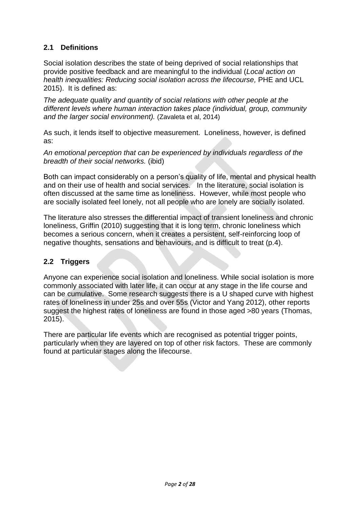# **2.1 Definitions**

Social isolation describes the state of being deprived of social relationships that provide positive feedback and are meaningful to the individual (*Local action on health inequalities: Reducing social isolation across the lifecourse,* PHE and UCL 2015). It is defined as:

*The adequate quality and quantity of social relations with other people at the different levels where human interaction takes place (individual, group, community and the larger social environment).* (Zavaleta et al, 2014)

As such, it lends itself to objective measurement. Loneliness, however, is defined as:

*An emotional perception that can be experienced by individuals regardless of the breadth of their social networks.* (ibid)

Both can impact considerably on a person's quality of life, mental and physical health and on their use of health and social services. In the literature, social isolation is often discussed at the same time as loneliness. However, while most people who are socially isolated feel lonely, not all people who are lonely are socially isolated.

The literature also stresses the differential impact of transient loneliness and chronic loneliness, Griffin (2010) suggesting that it is long term, chronic loneliness which becomes a serious concern, when it creates a persistent, self-reinforcing loop of negative thoughts, sensations and behaviours, and is difficult to treat (p.4).

# **2.2 Triggers**

Anyone can experience social isolation and loneliness. While social isolation is more commonly associated with later life, it can occur at any stage in the life course and can be cumulative. Some research suggests there is a U shaped curve with highest rates of loneliness in under 25s and over 55s (Victor and Yang 2012), other reports suggest the highest rates of loneliness are found in those aged >80 years (Thomas, 2015).

There are particular life events which are recognised as potential trigger points, particularly when they are layered on top of other risk factors. These are commonly found at particular stages along the lifecourse.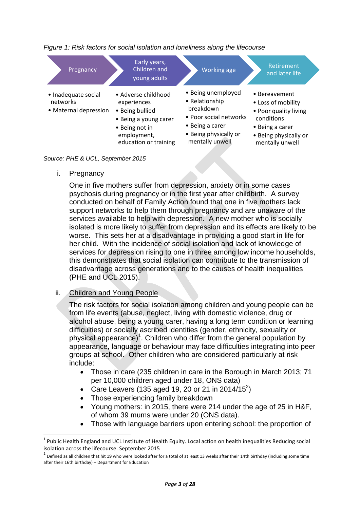

#### *Figure 1: Risk factors for social isolation and loneliness along the lifecourse*



i. Pregnancy

 $\overline{a}$ 

One in five mothers suffer from depression, anxiety or in some cases psychosis during pregnancy or in the first year after childbirth. A survey conducted on behalf of Family Action found that one in five mothers lack support networks to help them through pregnancy and are unaware of the services available to help with depression. A new mother who is socially isolated is more likely to suffer from depression and its effects are likely to be worse. This sets her at a disadvantage in providing a good start in life for her child. With the incidence of social isolation and lack of knowledge of services for depression rising to one in three among low income households, this demonstrates that social isolation can contribute to the transmission of disadvantage across generations and to the causes of health inequalities (PHE and UCL 2015).

### ii. Children and Young People

The risk factors for social isolation among children and young people can be from life events (abuse, neglect, living with domestic violence, drug or alcohol abuse, being a young carer, having a long term condition or learning difficulties) or socially ascribed identities (gender, ethnicity, sexuality or physical appearance)<sup>1</sup>. Children who differ from the general population by appearance, language or behaviour may face difficulties integrating into peer groups at school. Other children who are considered particularly at risk include:

- Those in care (235 children in care in the Borough in March 2013; 71 per 10,000 children aged under 18, ONS data)
- Care Leavers (135 aged 19, 20 or 21 in 2014/15<sup>2</sup>)
- Those experiencing family breakdown
- Young mothers: in 2015, there were 214 under the age of 25 in H&F, of whom 39 mums were under 20 (ONS data).
- Those with language barriers upon entering school: the proportion of

 $1$  Public Health England and UCL Institute of Health Equity. Local action on health inequalities Reducing social isolation across the lifecourse. September 2015

 $^2$  Defined as all children that hit 19 who were looked after for a total of at least 13 weeks after their 14th birthday (including some time after their 16th birthday) – Department for Education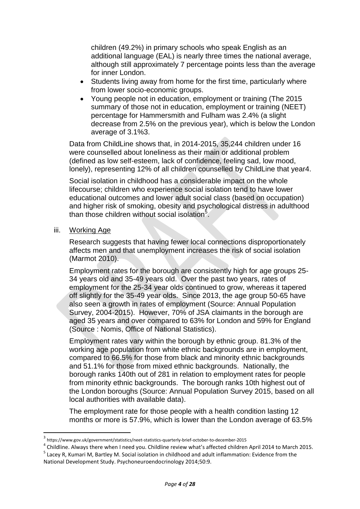children (49.2%) in primary schools who speak English as an additional language (EAL) is nearly three times the national average, although still approximately 7 percentage points less than the average for inner London.

- Students living away from home for the first time, particularly where from lower socio-economic groups.
- Young people not in education, employment or training (The 2015 summary of those not in education, employment or training (NEET) percentage for Hammersmith and Fulham was 2.4% (a slight decrease from 2.5% on the previous year), which is below the London average of 3.1%3.

Data from ChildLine shows that, in 2014-2015, 35,244 children under 16 were counselled about loneliness as their main or additional problem (defined as low self-esteem, lack of confidence, feeling sad, low mood, lonely), representing 12% of all children counselled by ChildLine that year4.

Social isolation in childhood has a considerable impact on the whole lifecourse; children who experience social isolation tend to have lower educational outcomes and lower adult social class (based on occupation) and higher risk of smoking, obesity and psychological distress in adulthood than those children without social isolation<sup>5</sup>.

iii. Working Age

**.** 

Research suggests that having fewer local connections disproportionately affects men and that unemployment increases the risk of social isolation (Marmot 2010).

Employment rates for the borough are consistently high for age groups 25- 34 years old and 35-49 years old. Over the past two years, rates of employment for the 25-34 year olds continued to grow, whereas it tapered off slightly for the 35-49 year olds. Since 2013, the age group 50-65 have also seen a growth in rates of employment (Source: Annual Population Survey, 2004-2015). However, 70% of JSA claimants in the borough are aged 35 years and over compared to 63% for London and 59% for England (Source : Nomis, Office of National Statistics).

Employment rates vary within the borough by ethnic group. 81.3% of the working age population from white ethnic backgrounds are in employment. compared to 66.5% for those from black and minority ethnic backgrounds and 51.1% for those from mixed ethnic backgrounds. Nationally, the borough ranks 140th out of 281 in relation to employment rates for people from minority ethnic backgrounds. The borough ranks 10th highest out of the London boroughs (Source: Annual Population Survey 2015, based on all local authorities with available data).

The employment rate for those people with a health condition lasting 12 months or more is 57.9%, which is lower than the London average of 63.5%

<sup>3</sup> https://www.gov.uk/government/statistics/neet-statistics-quarterly-brief-october-to-december-2015

 $^4$  Childline. Always there when I need you. Childline review what's affected children April 2014 to March 2015.

<sup>&</sup>lt;sup>5</sup> Lacey R, Kumari M, Bartley M. Social isolation in childhood and adult inflammation: Evidence from the National Development Study. Psychoneuroendocrinology 2014;50:9.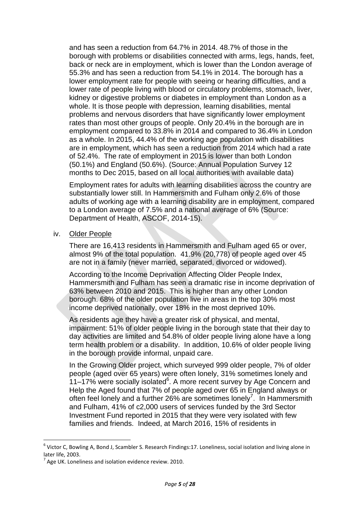and has seen a reduction from 64.7% in 2014. 48.7% of those in the borough with problems or disabilities connected with arms, legs, hands, feet, back or neck are in employment, which is lower than the London average of 55.3% and has seen a reduction from 54.1% in 2014. The borough has a lower employment rate for people with seeing or hearing difficulties, and a lower rate of people living with blood or circulatory problems, stomach, liver, kidney or digestive problems or diabetes in employment than London as a whole. It is those people with depression, learning disabilities, mental problems and nervous disorders that have significantly lower employment rates than most other groups of people. Only 20.4% in the borough are in employment compared to 33.8% in 2014 and compared to 36.4% in London as a whole. In 2015, 44.4% of the working age population with disabilities are in employment, which has seen a reduction from 2014 which had a rate of 52.4%. The rate of employment in 2015 is lower than both London (50.1%) and England (50.6%). (Source: Annual Population Survey 12 months to Dec 2015, based on all local authorities with available data)

Employment rates for adults with learning disabilities across the country are substantially lower still. In Hammersmith and Fulham only 2.6% of those adults of working age with a learning disability are in employment, compared to a London average of 7.5% and a national average of 6% (Source: Department of Health, ASCOF, 2014-15).

### iv. Older People

There are 16,413 residents in Hammersmith and Fulham aged 65 or over, almost 9% of the total population. 41.9% (20,778) of people aged over 45 are not in a family (never married, separated, divorced or widowed).

According to the Income Deprivation Affecting Older People Index, Hammersmith and Fulham has seen a dramatic rise in income deprivation of 63% between 2010 and 2015. This is higher than any other London borough. 68% of the older population live in areas in the top 30% most income deprived nationally, over 18% in the most deprived 10%.

As residents age they have a greater risk of physical, and mental, impairment: 51% of older people living in the borough state that their day to day activities are limited and 54.8% of older people living alone have a long term health problem or a disability. In addition, 10.6% of older people living in the borough provide informal, unpaid care.

In the Growing Older project, which surveyed 999 older people, 7% of older people (aged over 65 years) were often lonely, 31% sometimes lonely and  $11-17\%$  were socially isolated $6$ . A more recent survey by Age Concern and Help the Aged found that 7% of people aged over 65 in England always or often feel lonely and a further 26% are sometimes lonely<sup>7</sup>. In Hammersmith and Fulham, 41% of c2,000 users of services funded by the 3rd Sector Investment Fund reported in 2015 that they were very isolated with few families and friends. Indeed, at March 2016, 15% of residents in

**.** 

<sup>&</sup>lt;sup>6</sup> Victor C, Bowling A, Bond J, Scambler S. Research Findings:17. Loneliness, social isolation and living alone in later life, 2003.

 $^7$  Age UK. Loneliness and isolation evidence review. 2010.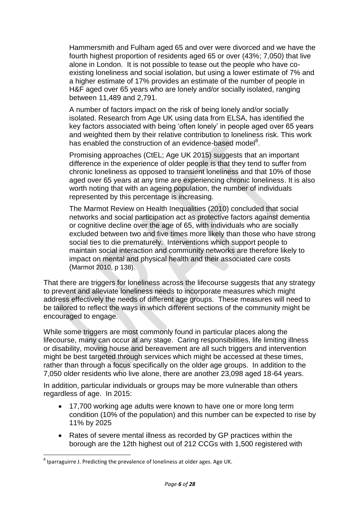Hammersmith and Fulham aged 65 and over were divorced and we have the fourth highest proportion of residents aged 65 or over (43%; 7,050) that live alone in London. It is not possible to tease out the people who have coexisting loneliness and social isolation, but using a lower estimate of 7% and a higher estimate of 17% provides an estimate of the number of people in H&F aged over 65 years who are lonely and/or socially isolated, ranging between 11,489 and 2,791.

A number of factors impact on the risk of being lonely and/or socially isolated. Research from Age UK using data from ELSA, has identified the key factors associated with being 'often lonely' in people aged over 65 years and weighted them by their relative contribution to loneliness risk. This work has enabled the construction of an evidence-based model<sup>8</sup>.

Promising approaches (CtEL; Age UK 2015) suggests that an important difference in the experience of older people is that they tend to suffer from chronic loneliness as opposed to transient loneliness and that 10% of those aged over 65 years at any time are experiencing chronic loneliness. It is also worth noting that with an ageing population, the number of individuals represented by this percentage is increasing.

The Marmot Review on Health Inequalities (2010) concluded that social networks and social participation act as protective factors against dementia or cognitive decline over the age of 65, with individuals who are socially excluded between two and five times more likely than those who have strong social ties to die prematurely. Interventions which support people to maintain social interaction and community networks are therefore likely to impact on mental and physical health and their associated care costs (Marmot 2010, p 138).

That there are triggers for loneliness across the lifecourse suggests that any strategy to prevent and alleviate loneliness needs to incorporate measures which might address effectively the needs of different age groups. These measures will need to be tailored to reflect the ways in which different sections of the community might be encouraged to engage.

While some triggers are most commonly found in particular places along the lifecourse, many can occur at any stage. Caring responsibilities, life limiting illness or disability, moving house and bereavement are all such triggers and intervention might be best targeted through services which might be accessed at these times, rather than through a focus specifically on the older age groups. In addition to the 7,050 older residents who live alone, there are another 23,098 aged 18-64 years.

In addition, particular individuals or groups may be more vulnerable than others regardless of age. In 2015:

- 17,700 working age adults were known to have one or more long term condition (10% of the population) and this number can be expected to rise by 11% by 2025
- Rates of severe mental illness as recorded by GP practices within the borough are the 12th highest out of 212 CCGs with 1,500 registered with

**<sup>.</sup>**  $^8$  Iparraguirre J. Predicting the prevalence of loneliness at older ages. Age UK.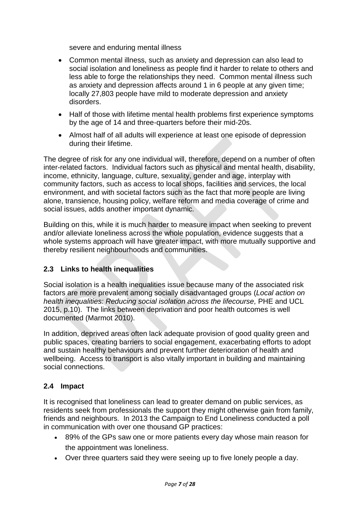severe and enduring mental illness

- Common mental illness, such as anxiety and depression can also lead to social isolation and loneliness as people find it harder to relate to others and less able to forge the relationships they need. Common mental illness such as anxiety and depression affects around 1 in 6 people at any given time; locally 27,803 people have mild to moderate depression and anxiety disorders.
- Half of those with lifetime mental health problems first experience symptoms by the age of 14 and three-quarters before their mid-20s.
- Almost half of all adults will experience at least one episode of depression during their lifetime.

The degree of risk for any one individual will, therefore, depend on a number of often inter-related factors. Individual factors such as physical and mental health, disability, income, ethnicity, language, culture, sexuality, gender and age, interplay with community factors, such as access to local shops, facilities and services, the local environment, and with societal factors such as the fact that more people are living alone, transience, housing policy, welfare reform and media coverage of crime and social issues, adds another important dynamic.

Building on this, while it is much harder to measure impact when seeking to prevent and/or alleviate loneliness across the whole population, evidence suggests that a whole systems approach will have greater impact, with more mutually supportive and thereby resilient neighbourhoods and communities.

# **2.3 Links to health inequalities**

Social isolation is a health inequalities issue because many of the associated risk factors are more prevalent among socially disadvantaged groups (*Local action on health inequalities: Reducing social isolation across the lifecourse,* PHE and UCL 2015, p.10). The links between deprivation and poor health outcomes is well documented (Marmot 2010).

In addition, deprived areas often lack adequate provision of good quality green and public spaces, creating barriers to social engagement, exacerbating efforts to adopt and sustain healthy behaviours and prevent further deterioration of health and wellbeing. Access to transport is also vitally important in building and maintaining social connections.

# **2.4 Impact**

It is recognised that loneliness can lead to greater demand on public services, as residents seek from professionals the support they might otherwise gain from family, friends and neighbours. In 2013 the Campaign to End Loneliness conducted a poll in communication with over one thousand GP practices:

- 89% of the GPs saw one or more patients every day whose main reason for the appointment was loneliness.
- Over three quarters said they were seeing up to five lonely people a day.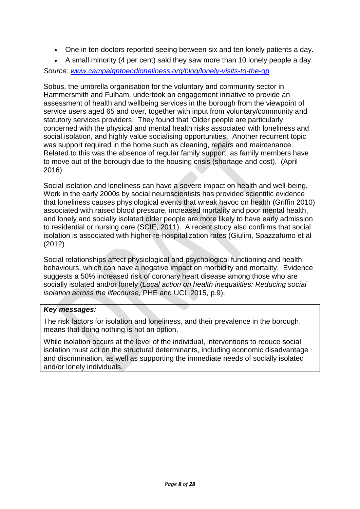- One in ten doctors reported seeing between six and ten lonely patients a day.
- A small minority (4 per cent) said they saw more than 10 lonely people a day.

*Source: [www.campaigntoendloneliness.org/blog/lonely-visits-to-the-gp](http://www.campaigntoendloneliness.org/blog/lonely-visits-to-the-gp)*

Sobus, the umbrella organisation for the voluntary and community sector in Hammersmith and Fulham, undertook an engagement initiative to provide an assessment of health and wellbeing services in the borough from the viewpoint of service users aged 65 and over, together with input from voluntary/community and statutory services providers. They found that 'Older people are particularly concerned with the physical and mental health risks associated with loneliness and social isolation, and highly value socialising opportunities. Another recurrent topic was support required in the home such as cleaning, repairs and maintenance. Related to this was the absence of regular family support, as family members have to move out of the borough due to the housing crisis (shortage and cost).' (April 2016)

Social isolation and loneliness can have a severe impact on health and well-being. Work in the early 2000s by social neuroscientists has provided scientific evidence that loneliness causes physiological events that wreak havoc on health (Griffin 2010) associated with raised blood pressure, increased mortality and poor mental health, and lonely and socially isolated older people are more likely to have early admission to residential or nursing care (SCIE, 2011). A recent study also confirms that social isolation is associated with higher re-hospitalization rates (Giulim, Spazzafumo et al (2012)

Social relationships affect physiological and psychological functioning and health behaviours, which can have a negative impact on morbidity and mortality. Evidence suggests a 50% increased risk of coronary heart disease among those who are socially isolated and/or lonely (*Local action on health inequalities: Reducing social isolation across the lifecourse,* PHE and UCL 2015, p.9).

### *Key messages:*

The risk factors for isolation and loneliness, and their prevalence in the borough, means that doing nothing is not an option.

While isolation occurs at the level of the individual, interventions to reduce social isolation must act on the structural determinants, including economic disadvantage and discrimination, as well as supporting the immediate needs of socially isolated and/or lonely individuals.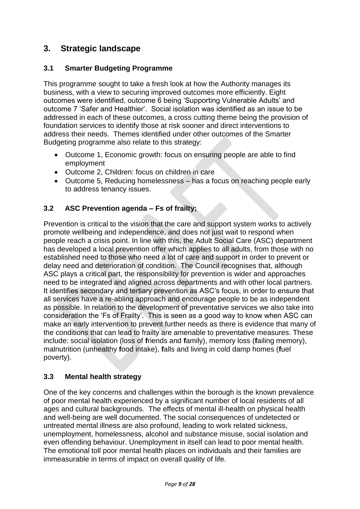# **3. Strategic landscape**

# **3.1 Smarter Budgeting Programme**

This programme sought to take a fresh look at how the Authority manages its business, with a view to securing improved outcomes more efficiently. Eight outcomes were identified, outcome 6 being 'Supporting Vulnerable Adults' and outcome 7 'Safer and Healthier'. Social isolation was identified as an issue to be addressed in each of these outcomes, a cross cutting theme being the provision of foundation services to identify those at risk sooner and direct interventions to address their needs. Themes identified under other outcomes of the Smarter Budgeting programme also relate to this strategy:

- Outcome 1, Economic growth: focus on ensuring people are able to find employment
- Outcome 2, Children: focus on children in care
- Outcome 5, Reducing homelessness has a focus on reaching people early to address tenancy issues.

# **3.2 ASC Prevention agenda – Fs of frailty;**

Prevention is critical to the vision that the care and support system works to actively promote wellbeing and independence, and does not just wait to respond when people reach a crisis point. In line with this, the Adult Social Care (ASC) department has developed a local prevention offer which applies to all adults, from those with no established need to those who need a lot of care and support in order to prevent or delay need and deterioration of condition. The Council recognises that, although ASC plays a critical part, the responsibility for prevention is wider and approaches need to be integrated and aligned across departments and with other local partners. It identifies secondary and tertiary prevention as ASC's focus, in order to ensure that all services have a re-abling approach and encourage people to be as independent as possible. In relation to the development of preventative services we also take into consideration the 'Fs of Frailty'. This is seen as a good way to know when ASC can make an early intervention to prevent further needs as there is evidence that many of the conditions that can lead to frailty are amenable to preventative measures. These include: social isolation (loss of **f**riends and **f**amily), memory loss (**f**ailing memory), malnutrition (unhealthy **f**ood intake), **f**alls and living in cold damp homes (**f**uel poverty).

# **3.3 Mental health strategy**

One of the key concerns and challenges within the borough is the known prevalence of poor mental health experienced by a significant number of local residents of all ages and cultural backgrounds. The effects of mental ill-health on physical health and well-being are well documented. The social consequences of undetected or untreated mental illness are also profound, leading to work related sickness, unemployment, homelessness, alcohol and substance misuse, social isolation and even offending behaviour. Unemployment in itself can lead to poor mental health. The emotional toll poor mental health places on individuals and their families are immeasurable in terms of impact on overall quality of life.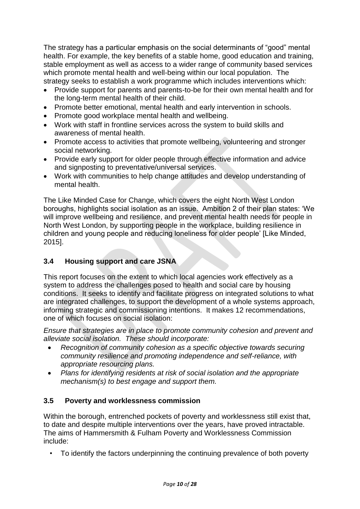The strategy has a particular emphasis on the social determinants of "good" mental health. For example, the key benefits of a stable home, good education and training, stable employment as well as access to a wider range of community based services which promote mental health and well-being within our local population. The strategy seeks to establish a work programme which includes interventions which:

- Provide support for parents and parents-to-be for their own mental health and for the long-term mental health of their child.
- Promote better emotional, mental health and early intervention in schools.
- Promote good workplace mental health and wellbeing.
- Work with staff in frontline services across the system to build skills and awareness of mental health.
- Promote access to activities that promote wellbeing, volunteering and stronger social networking.
- Provide early support for older people through effective information and advice and signposting to preventative/universal services.
- Work with communities to help change attitudes and develop understanding of mental health.

The Like Minded Case for Change, which covers the eight North West London boroughs, highlights social isolation as an issue. Ambition 2 of their plan states: 'We will improve wellbeing and resilience, and prevent mental health needs for people in North West London, by supporting people in the workplace, building resilience in children and young people and reducing loneliness for older people' [Like Minded, 2015].

# **3.4 Housing support and care JSNA**

This report focuses on the extent to which local agencies work effectively as a system to address the challenges posed to health and social care by housing conditions. It seeks to identify and facilitate progress on integrated solutions to what are integrated challenges, to support the development of a whole systems approach, informing strategic and commissioning intentions. It makes 12 recommendations, one of which focuses on social isolation:

*Ensure that strategies are in place to promote community cohesion and prevent and alleviate social isolation. These should incorporate:*

- *Recognition of community cohesion as a specific objective towards securing community resilience and promoting independence and self-reliance, with appropriate resourcing plans.*
- *Plans for identifying residents at risk of social isolation and the appropriate mechanism(s) to best engage and support them.*

# **3.5 Poverty and worklessness commission**

Within the borough, entrenched pockets of poverty and worklessness still exist that, to date and despite multiple interventions over the years, have proved intractable. The aims of Hammersmith & Fulham Poverty and Worklessness Commission include:

• To identify the factors underpinning the continuing prevalence of both poverty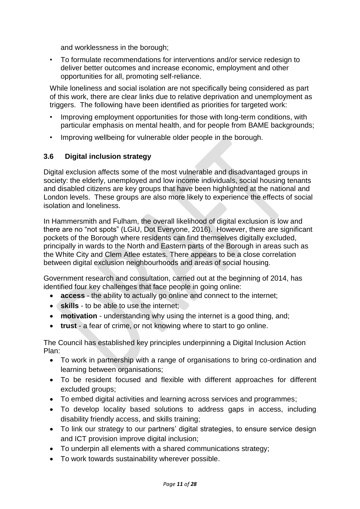and worklessness in the borough;

• To formulate recommendations for interventions and/or service redesign to deliver better outcomes and increase economic, employment and other opportunities for all, promoting self-reliance.

While loneliness and social isolation are not specifically being considered as part of this work, there are clear links due to relative deprivation and unemployment as triggers. The following have been identified as priorities for targeted work:

- Improving employment opportunities for those with long-term conditions, with particular emphasis on mental health, and for people from BAME backgrounds;
- Improving wellbeing for vulnerable older people in the borough.

# **3.6 Digital inclusion strategy**

Digital exclusion affects some of the most vulnerable and disadvantaged groups in society: the elderly, unemployed and low income individuals, social housing tenants and disabled citizens are key groups that have been highlighted at the national and London levels. These groups are also more likely to experience the effects of social isolation and loneliness.

In Hammersmith and Fulham, the overall likelihood of digital exclusion is low and there are no "not spots" (LGiU, Dot Everyone, 2016). However, there are significant pockets of the Borough where residents can find themselves digitally excluded, principally in wards to the North and Eastern parts of the Borough in areas such as the White City and Clem Atlee estates. There appears to be a close correlation between digital exclusion neighbourhoods and areas of social housing.

Government research and consultation, carried out at the beginning of 2014, has identified four key challenges that face people in going online:

- **access** the ability to actually go online and connect to the internet;
- **skills** to be able to use the internet;
- **motivation** understanding why using the internet is a good thing, and;
- **trust** a fear of crime, or not knowing where to start to go online.

The Council has established key principles underpinning a Digital Inclusion Action Plan:

- To work in partnership with a range of organisations to bring co-ordination and learning between organisations;
- To be resident focused and flexible with different approaches for different excluded groups;
- To embed digital activities and learning across services and programmes;
- To develop locality based solutions to address gaps in access, including disability friendly access, and skills training;
- To link our strategy to our partners' digital strategies, to ensure service design and ICT provision improve digital inclusion;
- To underpin all elements with a shared communications strategy;
- To work towards sustainability wherever possible.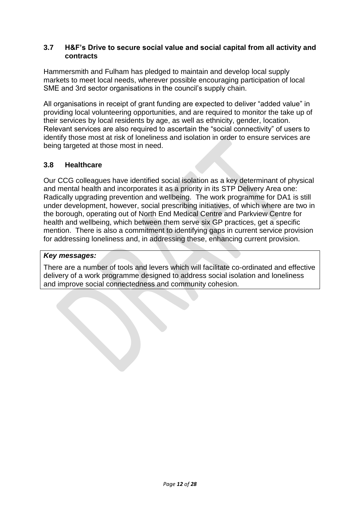#### **3.7 H&F's Drive to secure social value and social capital from all activity and contracts**

Hammersmith and Fulham has pledged to maintain and develop local supply markets to meet local needs, wherever possible encouraging participation of local SME and 3rd sector organisations in the council's supply chain.

All organisations in receipt of grant funding are expected to deliver "added value" in providing local volunteering opportunities, and are required to monitor the take up of their services by local residents by age, as well as ethnicity, gender, location. Relevant services are also required to ascertain the "social connectivity" of users to identify those most at risk of loneliness and isolation in order to ensure services are being targeted at those most in need.

### **3.8 Healthcare**

Our CCG colleagues have identified social isolation as a key determinant of physical and mental health and incorporates it as a priority in its STP Delivery Area one: Radically upgrading prevention and wellbeing. The work programme for DA1 is still under development, however, social prescribing initiatives, of which where are two in the borough, operating out of North End Medical Centre and Parkview Centre for health and wellbeing, which between them serve six GP practices, get a specific mention. There is also a commitment to identifying gaps in current service provision for addressing loneliness and, in addressing these, enhancing current provision.

#### *Key messages:*

There are a number of tools and levers which will facilitate co-ordinated and effective delivery of a work programme designed to address social isolation and loneliness and improve social connectedness and community cohesion.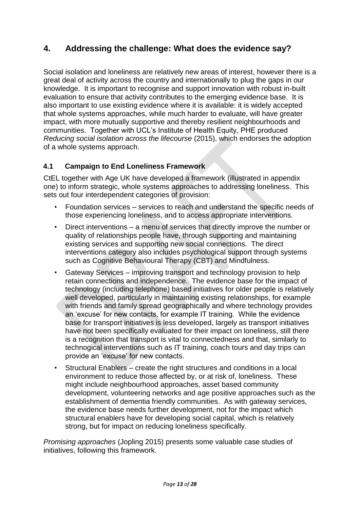# **4. Addressing the challenge: What does the evidence say?**

Social isolation and loneliness are relatively new areas of interest, however there is a great deal of activity across the country and internationally to plug the gaps in our knowledge. It is important to recognise and support innovation with robust in-built evaluation to ensure that activity contributes to the emerging evidence base. It is also important to use existing evidence where it is available: it is widely accepted that whole systems approaches, while much harder to evaluate, will have greater impact, with more mutually supportive and thereby resilient neighbourhoods and communities. Together with UCL's Institute of Health Equity, PHE produced *Reducing social isolation across the lifecourse* (2015), which endorses the adoption of a whole systems approach.

# **4.1 Campaign to End Loneliness Framework**

CtEL together with Age UK have developed a framework (illustrated in appendix one) to inform strategic, whole systems approaches to addressing loneliness. This sets out four interdependent categories of provision:

- Foundation services services to reach and understand the specific needs of those experiencing loneliness, and to access appropriate interventions.
- Direct interventions a menu of services that directly improve the number or quality of relationships people have, through supporting and maintaining existing services and supporting new social connections. The direct interventions category also includes psychological support through systems such as Cognitive Behavioural Therapy (CBT) and Mindfulness.
- Gateway Services improving transport and technology provision to help retain connections and independence. The evidence base for the impact of technology (including telephone) based initiatives for older people is relatively well developed, particularly in maintaining existing relationships, for example with friends and family spread geographically and where technology provides an 'excuse' for new contacts, for example IT training. While the evidence base for transport initiatives is less developed, largely as transport initiatives have not been specifically evaluated for their impact on loneliness, still there is a recognition that transport is vital to connectedness and that, similarly to technogical interventions such as IT training, coach tours and day trips can provide an 'excuse' for new contacts.
- Structural Enablers create the right structures and conditions in a local environment to reduce those affected by, or at risk of, loneliness. These might include neighbourhood approaches, asset based community development, volunteering networks and age positive approaches such as the establishment of dementia friendly communities. As with gateway services, the evidence base needs further development, not for the impact which structural enablers have for developing social capital, which is relatively strong, but for impact on reducing loneliness specifically.

*Promising approaches* (Jopling 2015) presents some valuable case studies of initiatives, following this framework.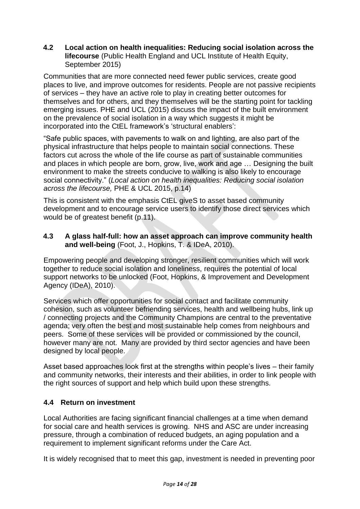### **4.2 Local action on health inequalities: Reducing social isolation across the lifecourse** (Public Health England and UCL Institute of Health Equity, September 2015)

Communities that are more connected need fewer public services, create good places to live, and improve outcomes for residents. People are not passive recipients of services – they have an active role to play in creating better outcomes for themselves and for others, and they themselves will be the starting point for tackling emerging issues. PHE and UCL (2015) discuss the impact of the built environment on the prevalence of social isolation in a way which suggests it might be incorporated into the CtEL framework's 'structural enablers':

"Safe public spaces, with pavements to walk on and lighting, are also part of the physical infrastructure that helps people to maintain social connections. These factors cut across the whole of the life course as part of sustainable communities and places in which people are born, grow, live, work and age … Designing the built environment to make the streets conducive to walking is also likely to encourage social connectivity." (*Local action on health inequalities: Reducing social isolation across the lifecourse,* PHE & UCL 2015, p.14)

This is consistent with the emphasis CtEL giveS to asset based community development and to encourage service users to identify those direct services which would be of greatest benefit (p.11).

### **4.3 A glass half-full: how an asset approach can improve community health and well-being** (Foot, J., Hopkins, T. & IDeA, 2010).

Empowering people and developing stronger, resilient communities which will work together to reduce social isolation and loneliness, requires the potential of local support networks to be unlocked (Foot, Hopkins, & Improvement and Development Agency (IDeA), 2010).

Services which offer opportunities for social contact and facilitate community cohesion, such as volunteer befriending services, health and wellbeing hubs, link up / connecting projects and the Community Champions are central to the preventative agenda; very often the best and most sustainable help comes from neighbours and peers. Some of these services will be provided or commissioned by the council, however many are not. Many are provided by third sector agencies and have been designed by local people.

Asset based approaches look first at the strengths within people's lives – their family and community networks, their interests and their abilities, in order to link people with the right sources of support and help which build upon these strengths.

# **4.4 Return on investment**

Local Authorities are facing significant financial challenges at a time when demand for social care and health services is growing. NHS and ASC are under increasing pressure, through a combination of reduced budgets, an aging population and a requirement to implement significant reforms under the Care Act.

It is widely recognised that to meet this gap, investment is needed in preventing poor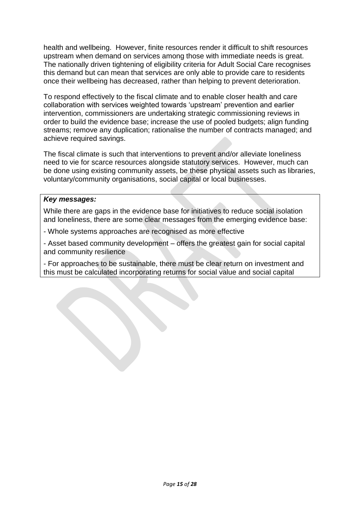health and wellbeing. However, finite resources render it difficult to shift resources upstream when demand on services among those with immediate needs is great. The nationally driven tightening of eligibility criteria for Adult Social Care recognises this demand but can mean that services are only able to provide care to residents once their wellbeing has decreased, rather than helping to prevent deterioration.

To respond effectively to the fiscal climate and to enable closer health and care collaboration with services weighted towards 'upstream' prevention and earlier intervention, commissioners are undertaking strategic commissioning reviews in order to build the evidence base; increase the use of pooled budgets; align funding streams; remove any duplication; rationalise the number of contracts managed; and achieve required savings.

The fiscal climate is such that interventions to prevent and/or alleviate loneliness need to vie for scarce resources alongside statutory services. However, much can be done using existing community assets, be these physical assets such as libraries, voluntary/community organisations, social capital or local businesses.

#### *Key messages:*

While there are gaps in the evidence base for initiatives to reduce social isolation and loneliness, there are some clear messages from the emerging evidence base:

- Whole systems approaches are recognised as more effective

- Asset based community development – offers the greatest gain for social capital and community resilience

- For approaches to be sustainable, there must be clear return on investment and this must be calculated incorporating returns for social value and social capital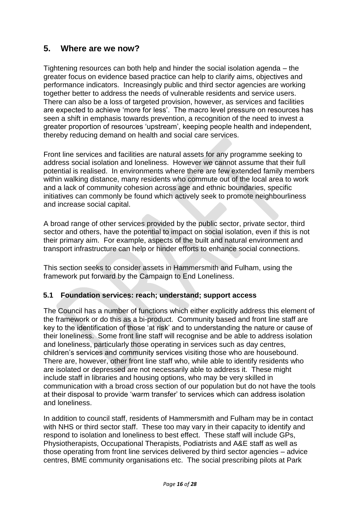# **5. Where are we now?**

Tightening resources can both help and hinder the social isolation agenda – the greater focus on evidence based practice can help to clarify aims, objectives and performance indicators. Increasingly public and third sector agencies are working together better to address the needs of vulnerable residents and service users. There can also be a loss of targeted provision, however, as services and facilities are expected to achieve 'more for less'. The macro level pressure on resources has seen a shift in emphasis towards prevention, a recognition of the need to invest a greater proportion of resources 'upstream', keeping people health and independent, thereby reducing demand on health and social care services.

Front line services and facilities are natural assets for any programme seeking to address social isolation and loneliness. However we cannot assume that their full potential is realised. In environments where there are few extended family members within walking distance, many residents who commute out of the local area to work and a lack of community cohesion across age and ethnic boundaries, specific initiatives can commonly be found which actively seek to promote neighbourliness and increase social capital.

A broad range of other services provided by the public sector, private sector, third sector and others, have the potential to impact on social isolation, even if this is not their primary aim. For example, aspects of the built and natural environment and transport infrastructure can help or hinder efforts to enhance social connections.

This section seeks to consider assets in Hammersmith and Fulham, using the framework put forward by the Campaign to End Loneliness.

### **5.1 Foundation services: reach; understand; support access**

The Council has a number of functions which either explicitly address this element of the framework or do this as a bi-product. Community based and front line staff are key to the identification of those 'at risk' and to understanding the nature or cause of their loneliness. Some front line staff will recognise and be able to address isolation and loneliness, particularly those operating in services such as day centres, children's services and community services visiting those who are housebound. There are, however, other front line staff who, while able to identify residents who are isolated or depressed are not necessarily able to address it. These might include staff in libraries and housing options, who may be very skilled in communication with a broad cross section of our population but do not have the tools at their disposal to provide 'warm transfer' to services which can address isolation and loneliness.

In addition to council staff, residents of Hammersmith and Fulham may be in contact with NHS or third sector staff. These too may vary in their capacity to identify and respond to isolation and loneliness to best effect. These staff will include GPs, Physiotherapists, Occupational Therapists, Podiatrists and A&E staff as well as those operating from front line services delivered by third sector agencies – advice centres, BME community organisations etc. The social prescribing pilots at Park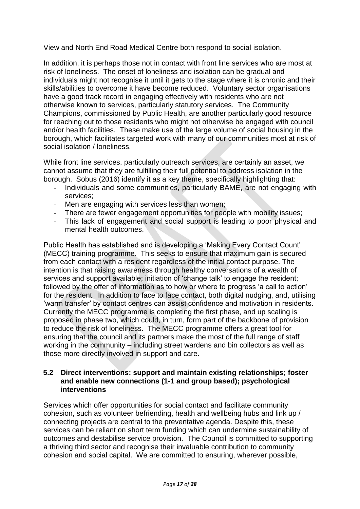View and North End Road Medical Centre both respond to social isolation.

In addition, it is perhaps those not in contact with front line services who are most at risk of loneliness. The onset of loneliness and isolation can be gradual and individuals might not recognise it until it gets to the stage where it is chronic and their skills/abilities to overcome it have become reduced. Voluntary sector organisations have a good track record in engaging effectively with residents who are not otherwise known to services, particularly statutory services. The Community Champions, commissioned by Public Health, are another particularly good resource for reaching out to those residents who might not otherwise be engaged with council and/or health facilities. These make use of the large volume of social housing in the borough, which facilitates targeted work with many of our communities most at risk of social isolation / loneliness.

While front line services, particularly outreach services, are certainly an asset, we cannot assume that they are fulfilling their full potential to address isolation in the borough. Sobus (2016) identify it as a key theme, specifically highlighting that:

- Individuals and some communities, particularly BAME, are not engaging with services;
- Men are engaging with services less than women;
- There are fewer engagement opportunities for people with mobility issues;
- This lack of engagement and social support is leading to poor physical and mental health outcomes.

Public Health has established and is developing a 'Making Every Contact Count' (MECC) training programme. This seeks to ensure that maximum gain is secured from each contact with a resident regardless of the initial contact purpose. The intention is that raising awareness through healthy conversations of a wealth of services and support available; initiation of 'change talk' to engage the resident; followed by the offer of information as to how or where to progress 'a call to action' for the resident. In addition to face to face contact, both digital nudging, and, utilising 'warm transfer' by contact centres can assist confidence and motivation in residents. Currently the MECC programme is completing the first phase, and up scaling is proposed in phase two, which could, in turn, form part of the backbone of provision to reduce the risk of loneliness. The MECC programme offers a great tool for ensuring that the council and its partners make the most of the full range of staff working in the community – including street wardens and bin collectors as well as those more directly involved in support and care.

#### **5.2 Direct interventions: support and maintain existing relationships; foster and enable new connections (1-1 and group based); psychological interventions**

Services which offer opportunities for social contact and facilitate community cohesion, such as volunteer befriending, health and wellbeing hubs and link up / connecting projects are central to the preventative agenda. Despite this, these services can be reliant on short term funding which can undermine sustainability of outcomes and destabilise service provision. The Council is committed to supporting a thriving third sector and recognise their invaluable contribution to community cohesion and social capital. We are committed to ensuring, wherever possible,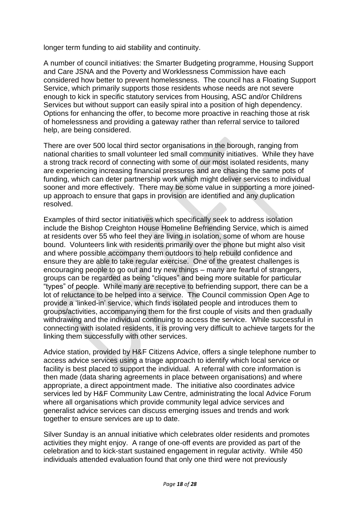longer term funding to aid stability and continuity.

A number of council initiatives: the Smarter Budgeting programme, Housing Support and Care JSNA and the Poverty and Worklessness Commission have each considered how better to prevent homelessness. The council has a Floating Support Service, which primarily supports those residents whose needs are not severe enough to kick in specific statutory services from Housing, ASC and/or Childrens Services but without support can easily spiral into a position of high dependency. Options for enhancing the offer, to become more proactive in reaching those at risk of homelessness and providing a gateway rather than referral service to tailored help, are being considered.

There are over 500 local third sector organisations in the borough, ranging from national charities to small volunteer led small community initiatives. While they have a strong track record of connecting with some of our most isolated residents, many are experiencing increasing financial pressures and are chasing the same pots of funding, which can deter partnership work which might deliver services to individual sooner and more effectively. There may be some value in supporting a more joinedup approach to ensure that gaps in provision are identified and any duplication resolved.

Examples of third sector initiatives which specifically seek to address isolation include the Bishop Creighton House Homeline Befriending Service, which is aimed at residents over 55 who feel they are living in isolation, some of whom are house bound. Volunteers link with residents primarily over the phone but might also visit and where possible accompany them outdoors to help rebuild confidence and ensure they are able to take regular exercise. One of the greatest challenges is encouraging people to go out and try new things – many are fearful of strangers, groups can be regarded as being "cliques" and being more suitable for particular "types" of people. While many are receptive to befriending support, there can be a lot of reluctance to be helped into a service. The Council commission Open Age to provide a 'linked-in' service, which finds isolated people and introduces them to groups/activities, accompanying them for the first couple of visits and then gradually withdrawing and the individual continuing to access the service. While successful in connecting with isolated residents, it is proving very difficult to achieve targets for the linking them successfully with other services.

Advice station, provided by H&F Citizens Advice, offers a single telephone number to access advice services using a triage approach to identify which local service or facility is best placed to support the individual. A referral with core information is then made (data sharing agreements in place between organisations) and where appropriate, a direct appointment made. The initiative also coordinates advice services led by H&F Community Law Centre, administrating the local Advice Forum where all organisations which provide community legal advice services and generalist advice services can discuss emerging issues and trends and work together to ensure services are up to date.

Silver Sunday is an annual initiative which celebrates older residents and promotes activities they might enjoy. A range of one-off events are provided as part of the celebration and to kick-start sustained engagement in regular activity. While 450 individuals attended evaluation found that only one third were not previously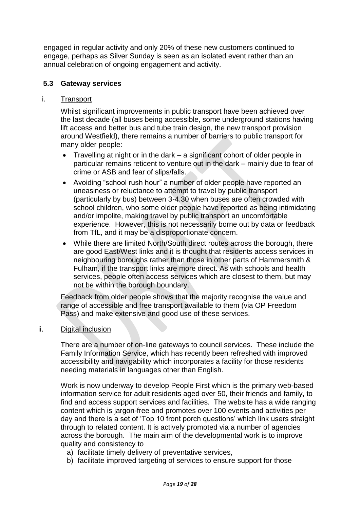engaged in regular activity and only 20% of these new customers continued to engage, perhaps as Silver Sunday is seen as an isolated event rather than an annual celebration of ongoing engagement and activity.

### **5.3 Gateway services**

#### i. Transport

Whilst significant improvements in public transport have been achieved over the last decade (all buses being accessible, some underground stations having lift access and better bus and tube train design, the new transport provision around Westfield), there remains a number of barriers to public transport for many older people:

- Travelling at night or in the dark a significant cohort of older people in particular remains reticent to venture out in the dark – mainly due to fear of crime or ASB and fear of slips/falls.
- Avoiding "school rush hour" a number of older people have reported an uneasiness or reluctance to attempt to travel by public transport (particularly by bus) between 3-4.30 when buses are often crowded with school children, who some older people have reported as being intimidating and/or impolite, making travel by public transport an uncomfortable experience. However, this is not necessarily borne out by data or feedback from TfL, and it may be a disproportionate concern.
- While there are limited North/South direct routes across the borough, there are good East/West links and it is thought that residents access services in neighbouring boroughs rather than those in other parts of Hammersmith & Fulham, if the transport links are more direct. As with schools and health services, people often access services which are closest to them, but may not be within the borough boundary.

Feedback from older people shows that the majority recognise the value and range of accessible and free transport available to them (via OP Freedom Pass) and make extensive and good use of these services.

#### ii. Digital inclusion

There are a number of on-line gateways to council services. These include the Family Information Service, which has recently been refreshed with improved accessibility and navigability which incorporates a facility for those residents needing materials in languages other than English.

Work is now underway to develop People First which is the primary web-based information service for adult residents aged over 50, their friends and family, to find and access support services and facilities. The website has a wide ranging content which is jargon-free and promotes over 100 events and activities per day and there is a set of 'Top 10 front porch questions' which link users straight through to related content. It is actively promoted via a number of agencies across the borough. The main aim of the developmental work is to improve quality and consistency to

- a) facilitate timely delivery of preventative services,
- b) facilitate improved targeting of services to ensure support for those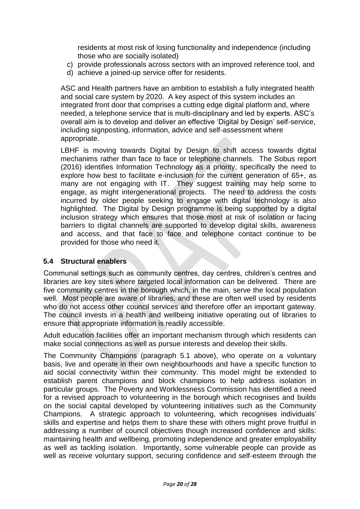residents at most risk of losing functionality and independence (including those who are socially isolated)

- c) provide professionals across sectors with an improved reference tool, and
- d) achieve a joined-up service offer for residents.

ASC and Health partners have an ambition to establish a fully integrated health and social care system by 2020. A key aspect of this system includes an integrated front door that comprises a cutting edge digital platform and, where needed, a telephone service that is multi-disciplinary and led by experts. ASC's overall aim is to develop and deliver an effective 'Digital by Design' self-service, including signposting, information, advice and self-assessment where appropriate.

LBHF is moving towards Digital by Design to shift access towards digital mechanims rather than face to face or telephone channels. The Sobus report (2016) identifies Information Technology as a priority, specifically the need to explore how best to facilitate e-inclusion for the current generation of 65+, as many are not engaging with IT. They suggest training may help some to engage, as might intergenerational projects. The need to address the costs incurred by older people seeking to engage with digital technology is also highlighted. The Digital by Design programme is being supported by a digital inclusion strategy which ensures that those most at risk of isolation or facing barriers to digital channels are supported to develop digital skills, awareness and access, and that face to face and telephone contact continue to be provided for those who need it.

# **5.4 Structural enablers**

Communal settings such as community centres, day centres, children's centres and libraries are key sites where targeted local information can be delivered. There are five community centres in the borough which, in the main, serve the local population well. Most people are aware of libraries, and these are often well used by residents who do not access other council services and therefore offer an important gateway. The council invests in a health and wellbeing initiative operating out of libraries to ensure that appropriate information is readily accessible.

Adult education facilities offer an important mechanism through which residents can make social connections as well as pursue interests and develop their skills.

The Community Champions (paragraph 5.1 above), who operate on a voluntary basis, live and operate in their own neighbourhoods and have a specific function to aid social connectivity within their community. This model might be extended to establish parent champions and block champions to help address isolation in particular groups. The Poverty and Worklessness Commission has identified a need for a revised approach to volunteering in the borough which recognises and builds on the social capital developed by volunteering initiatives such as the Community Champions. A strategic approach to volunteering, which recognises individuals' skills and expertise and helps them to share these with others might prove fruitful in addressing a number of council objectives though increased confidence and skills: maintaining health and wellbeing, promoting independence and greater employability as well as tackling isolation. Importantly, some vulnerable people can provide as well as receive voluntary support, securing confidence and self-esteem through the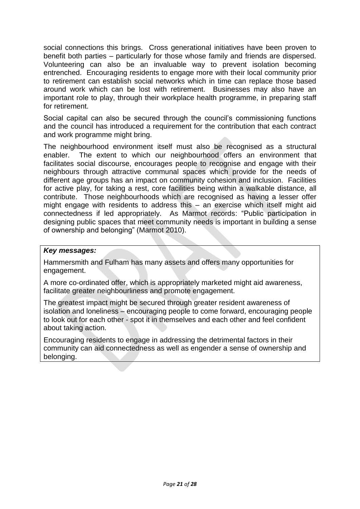social connections this brings. Cross generational initiatives have been proven to benefit both parties – particularly for those whose family and friends are dispersed. Volunteering can also be an invaluable way to prevent isolation becoming entrenched. Encouraging residents to engage more with their local community prior to retirement can establish social networks which in time can replace those based around work which can be lost with retirement. Businesses may also have an important role to play, through their workplace health programme, in preparing staff for retirement.

Social capital can also be secured through the council's commissioning functions and the council has introduced a requirement for the contribution that each contract and work programme might bring.

The neighbourhood environment itself must also be recognised as a structural enabler. The extent to which our neighbourhood offers an environment that facilitates social discourse, encourages people to recognise and engage with their neighbours through attractive communal spaces which provide for the needs of different age groups has an impact on community cohesion and inclusion. Facilities for active play, for taking a rest, core facilities being within a walkable distance, all contribute. Those neighbourhoods which are recognised as having a lesser offer might engage with residents to address this – an exercise which itself might aid connectedness if led appropriately. As Marmot records: "Public participation in designing public spaces that meet community needs is important in building a sense of ownership and belonging" (Marmot 2010).

### *Key messages:*

Hammersmith and Fulham has many assets and offers many opportunities for engagement.

A more co-ordinated offer, which is appropriately marketed might aid awareness, facilitate greater neighbourliness and promote engagement.

The greatest impact might be secured through greater resident awareness of isolation and loneliness – encouraging people to come forward, encouraging people to look out for each other - spot it in themselves and each other and feel confident about taking action.

Encouraging residents to engage in addressing the detrimental factors in their community can aid connectedness as well as engender a sense of ownership and belonging.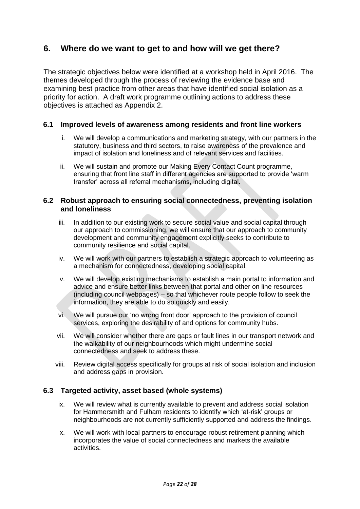# **6. Where do we want to get to and how will we get there?**

The strategic objectives below were identified at a workshop held in April 2016. The themes developed through the process of reviewing the evidence base and examining best practice from other areas that have identified social isolation as a priority for action. A draft work programme outlining actions to address these objectives is attached as Appendix 2.

### **6.1 Improved levels of awareness among residents and front line workers**

- i. We will develop a communications and marketing strategy, with our partners in the statutory, business and third sectors, to raise awareness of the prevalence and impact of isolation and loneliness and of relevant services and facilities.
- ii. We will sustain and promote our Making Every Contact Count programme, ensuring that front line staff in different agencies are supported to provide 'warm transfer' across all referral mechanisms, including digital.

#### **6.2 Robust approach to ensuring social connectedness, preventing isolation and loneliness**

- iii. In addition to our existing work to secure social value and social capital through our approach to commissioning, we will ensure that our approach to community development and community engagement explicitly seeks to contribute to community resilience and social capital.
- iv. We will work with our partners to establish a strategic approach to volunteering as a mechanism for connectedness, developing social capital.
- v. We will develop existing mechanisms to establish a main portal to information and advice and ensure better links between that portal and other on line resources (including council webpages) – so that whichever route people follow to seek the information, they are able to do so quickly and easily.
- vi. We will pursue our 'no wrong front door' approach to the provision of council services, exploring the desirability of and options for community hubs.
- vii. We will consider whether there are gaps or fault lines in our transport network and the walkability of our neighbourhoods which might undermine social connectedness and seek to address these.
- viii. Review digital access specifically for groups at risk of social isolation and inclusion and address gaps in provision.

### **6.3 Targeted activity, asset based (whole systems)**

- ix. We will review what is currently available to prevent and address social isolation for Hammersmith and Fulham residents to identify which 'at-risk' groups or neighbourhoods are not currently sufficiently supported and address the findings.
- x. We will work with local partners to encourage robust retirement planning which incorporates the value of social connectedness and markets the available activities.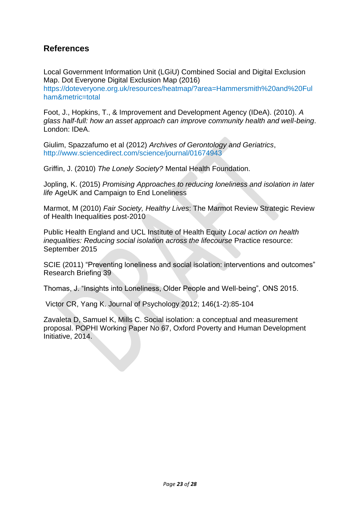# **References**

Local Government Information Unit (LGiU) Combined Social and Digital Exclusion Map. Dot Everyone Digital Exclusion Map (2016) [https://doteveryone.org.uk/resources/heatmap/?area=Hammersmith%20and%20Ful](https://doteveryone.org.uk/resources/heatmap/?area=Hammersmith%20and%20Fulham&metric=total) [ham&metric=total](https://doteveryone.org.uk/resources/heatmap/?area=Hammersmith%20and%20Fulham&metric=total)

Foot, J., Hopkins, T., & Improvement and Development Agency (IDeA). (2010). *A glass half-full: how an asset approach can improve community health and well-being*. London: IDeA.

Giulim, Spazzafumo et al (2012) *Archives of Gerontology and Geriatrics*, <http://www.sciencedirect.com/science/journal/01674943>

Griffin, J. (2010) *The Lonely Society?* Mental Health Foundation.

Jopling, K. (2015) *Promising Approaches to reducing loneliness and isolation in later life* AgeUK and Campaign to End Loneliness

Marmot, M (2010) *Fair Society, Healthy Lives*: The Marmot Review Strategic Review of Health Inequalities post-2010

Public Health England and UCL Institute of Health Equity *Local action on health inequalities: Reducing social isolation across the lifecourse* Practice resource: September 2015

SCIE (2011) "Preventing loneliness and social isolation: interventions and outcomes" Research Briefing 39

Thomas, J. "Insights into Loneliness, Older People and Well-being", ONS 2015.

Victor CR, Yang K. Journal of Psychology 2012; 146(1-2):85-104

Zavaleta D, Samuel K, Mills C. Social isolation: a conceptual and measurement proposal. POPHI Working Paper No 67, Oxford Poverty and Human Development Initiative, 2014.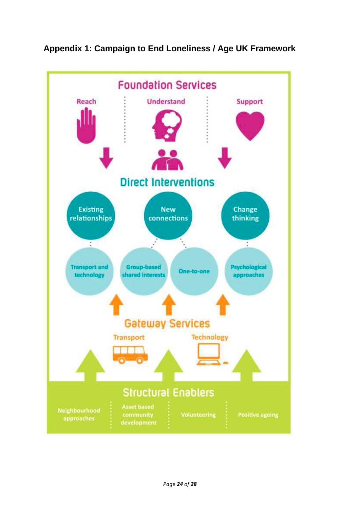

# **Appendix 1: Campaign to End Loneliness / Age UK Framework**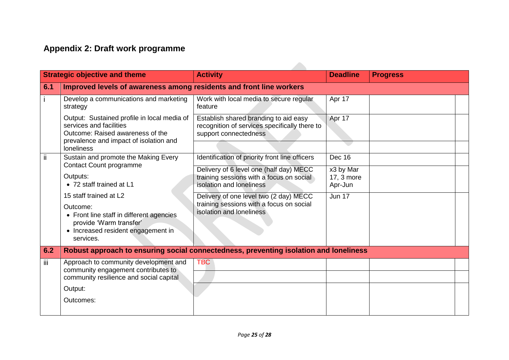# **Appendix 2: Draft work programme**

| <b>Strategic objective and theme</b> |                                                                                                                                                                           | <b>Activity</b>                                                                                                 | <b>Deadline</b>                    | <b>Progress</b> |  |
|--------------------------------------|---------------------------------------------------------------------------------------------------------------------------------------------------------------------------|-----------------------------------------------------------------------------------------------------------------|------------------------------------|-----------------|--|
| 6.1                                  | Improved levels of awareness among residents and front line workers                                                                                                       |                                                                                                                 |                                    |                 |  |
|                                      | Develop a communications and marketing<br>strategy                                                                                                                        | Work with local media to secure regular<br>feature                                                              | Apr 17                             |                 |  |
|                                      | Output: Sustained profile in local media of<br>services and facilities<br>Outcome: Raised awareness of the<br>prevalence and impact of isolation and<br><b>loneliness</b> | Establish shared branding to aid easy<br>recognition of services specifically there to<br>support connectedness | Apr 17                             |                 |  |
| ii.                                  | Sustain and promote the Making Every                                                                                                                                      | Identification of priority front line officers                                                                  | <b>Dec 16</b>                      |                 |  |
|                                      | <b>Contact Count programme</b><br>Outputs:<br>• 72 staff trained at L1                                                                                                    | Delivery of 6 level one (half day) MECC<br>training sessions with a focus on social<br>isolation and loneliness | x3 by Mar<br>17, 3 more<br>Apr-Jun |                 |  |
|                                      | 15 staff trained at L2<br>Outcome:<br>• Front line staff in different agencies<br>provide 'Warm transfer'<br>• Increased resident engagement in<br>services.              | Delivery of one level two (2 day) MECC<br>training sessions with a focus on social<br>isolation and loneliness  | <b>Jun 17</b>                      |                 |  |
| 6.2                                  |                                                                                                                                                                           | Robust approach to ensuring social connectedness, preventing isolation and loneliness                           |                                    |                 |  |
| iii.                                 | Approach to community development and<br>community engagement contributes to<br>community resilience and social capital<br>Output:<br>Outcomes:                           | <b>TBC</b>                                                                                                      |                                    |                 |  |
|                                      |                                                                                                                                                                           |                                                                                                                 |                                    |                 |  |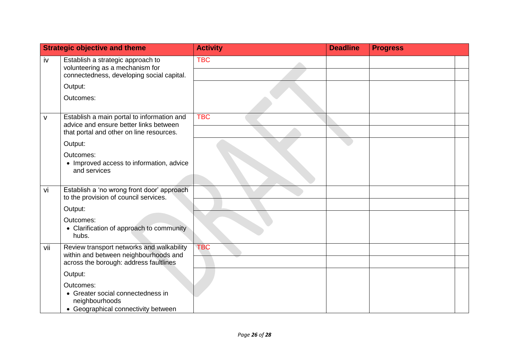| <b>Strategic objective and theme</b> |                                                                                                                                  | <b>Activity</b> | <b>Deadline</b> | <b>Progress</b> |  |
|--------------------------------------|----------------------------------------------------------------------------------------------------------------------------------|-----------------|-----------------|-----------------|--|
| iv                                   | Establish a strategic approach to<br>volunteering as a mechanism for<br>connectedness, developing social capital.                | <b>TBC</b>      |                 |                 |  |
|                                      | Output:                                                                                                                          |                 |                 |                 |  |
|                                      | Outcomes:                                                                                                                        |                 |                 |                 |  |
| ٨                                    | Establish a main portal to information and<br>advice and ensure better links between<br>that portal and other on line resources. | <b>TBC</b>      |                 |                 |  |
|                                      | Output:                                                                                                                          |                 |                 |                 |  |
|                                      | Outcomes:<br>• Improved access to information, advice<br>and services                                                            |                 |                 |                 |  |
| vi                                   | Establish a 'no wrong front door' approach<br>to the provision of council services.                                              |                 |                 |                 |  |
|                                      | Output:                                                                                                                          |                 |                 |                 |  |
|                                      | Outcomes:<br>• Clarification of approach to community<br>hubs.                                                                   |                 |                 |                 |  |
| vii                                  | Review transport networks and walkability<br>within and between neighbourhoods and<br>across the borough: address faultlines     | <b>TBC</b>      |                 |                 |  |
|                                      | Output:                                                                                                                          |                 |                 |                 |  |
|                                      | Outcomes:<br>• Greater social connectedness in<br>neighbourhoods<br>• Geographical connectivity between                          |                 |                 |                 |  |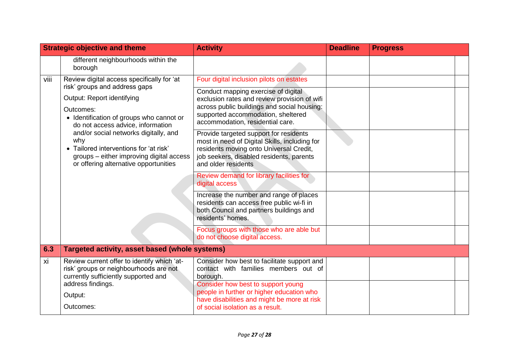| <b>Strategic objective and theme</b> |                                                                                                                                                                                                                                                                                                                                                                                        | <b>Activity</b>                                                                                                                                                                                              | <b>Deadline</b> | <b>Progress</b> |  |
|--------------------------------------|----------------------------------------------------------------------------------------------------------------------------------------------------------------------------------------------------------------------------------------------------------------------------------------------------------------------------------------------------------------------------------------|--------------------------------------------------------------------------------------------------------------------------------------------------------------------------------------------------------------|-----------------|-----------------|--|
|                                      | different neighbourhoods within the<br>borough                                                                                                                                                                                                                                                                                                                                         |                                                                                                                                                                                                              |                 |                 |  |
| viii                                 | Review digital access specifically for 'at<br>risk' groups and address gaps<br>Output: Report identifying<br>Outcomes:<br>• Identification of groups who cannot or<br>do not access advice, information<br>and/or social networks digitally, and<br>why<br>• Tailored interventions for 'at risk'<br>groups – either improving digital access<br>or offering alternative opportunities | Four digital inclusion pilots on estates                                                                                                                                                                     |                 |                 |  |
|                                      |                                                                                                                                                                                                                                                                                                                                                                                        | Conduct mapping exercise of digital<br>exclusion rates and review provision of wifi<br>across public buildings and social housing:<br>supported accommodation, sheltered<br>accommodation, residential care. |                 |                 |  |
|                                      |                                                                                                                                                                                                                                                                                                                                                                                        | Provide targeted support for residents<br>most in need of Digital Skills, including for<br>residents moving onto Universal Credit,<br>job seekers, disabled residents, parents<br>and older residents        |                 |                 |  |
|                                      |                                                                                                                                                                                                                                                                                                                                                                                        | Review demand for library facilities for<br>digital access                                                                                                                                                   |                 |                 |  |
|                                      |                                                                                                                                                                                                                                                                                                                                                                                        | Increase the number and range of places<br>residents can access free public wi-fi in<br>both Council and partners buildings and<br>residents' homes.                                                         |                 |                 |  |
|                                      |                                                                                                                                                                                                                                                                                                                                                                                        | Focus groups with those who are able but<br>do not choose digital access.                                                                                                                                    |                 |                 |  |
| 6.3                                  | Targeted activity, asset based (whole systems)                                                                                                                                                                                                                                                                                                                                         |                                                                                                                                                                                                              |                 |                 |  |
| xi                                   | Review current offer to identify which 'at-<br>risk' groups or neighbourhoods are not<br>currently sufficiently supported and<br>address findings.                                                                                                                                                                                                                                     | Consider how best to facilitate support and<br>contact with families members out of<br>borough.<br>Consider how best to support young                                                                        |                 |                 |  |
|                                      | Output:                                                                                                                                                                                                                                                                                                                                                                                | people in further or higher education who<br>have disabilities and might be more at risk                                                                                                                     |                 |                 |  |
|                                      | Outcomes:                                                                                                                                                                                                                                                                                                                                                                              | of social isolation as a result.                                                                                                                                                                             |                 |                 |  |